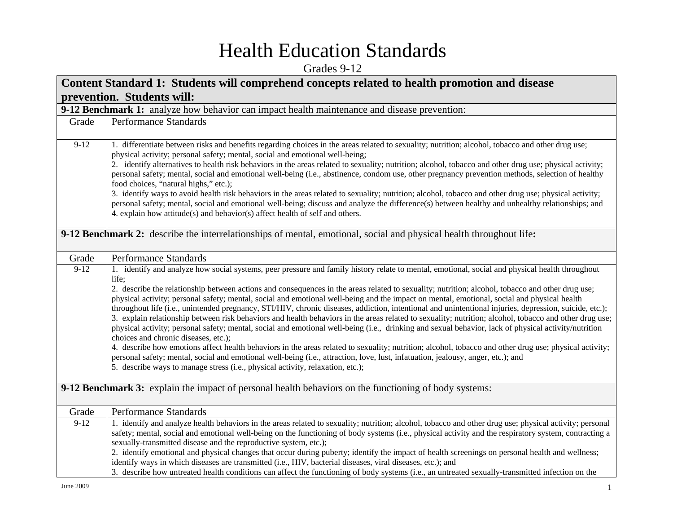## Health Education Standards

Grades 9-12

| Content Standard 1: Students will comprehend concepts related to health promotion and disease |                                                                                                                                                                                                                                                                                                                                                                                                                                                                                                                                                                                                                                                                                                                                                                                                                                                                                                                                                                                                                                                                                                                                                                                                                                                                                                                                                                 |
|-----------------------------------------------------------------------------------------------|-----------------------------------------------------------------------------------------------------------------------------------------------------------------------------------------------------------------------------------------------------------------------------------------------------------------------------------------------------------------------------------------------------------------------------------------------------------------------------------------------------------------------------------------------------------------------------------------------------------------------------------------------------------------------------------------------------------------------------------------------------------------------------------------------------------------------------------------------------------------------------------------------------------------------------------------------------------------------------------------------------------------------------------------------------------------------------------------------------------------------------------------------------------------------------------------------------------------------------------------------------------------------------------------------------------------------------------------------------------------|
|                                                                                               | prevention. Students will:                                                                                                                                                                                                                                                                                                                                                                                                                                                                                                                                                                                                                                                                                                                                                                                                                                                                                                                                                                                                                                                                                                                                                                                                                                                                                                                                      |
|                                                                                               | 9-12 Benchmark 1: analyze how behavior can impact health maintenance and disease prevention:                                                                                                                                                                                                                                                                                                                                                                                                                                                                                                                                                                                                                                                                                                                                                                                                                                                                                                                                                                                                                                                                                                                                                                                                                                                                    |
| Grade                                                                                         | <b>Performance Standards</b>                                                                                                                                                                                                                                                                                                                                                                                                                                                                                                                                                                                                                                                                                                                                                                                                                                                                                                                                                                                                                                                                                                                                                                                                                                                                                                                                    |
| $9-12$                                                                                        | 1. differentiate between risks and benefits regarding choices in the areas related to sexuality; nutrition; alcohol, tobacco and other drug use;<br>physical activity; personal safety; mental, social and emotional well-being;<br>2. identify alternatives to health risk behaviors in the areas related to sexuality; nutrition; alcohol, tobacco and other drug use; physical activity;<br>personal safety; mental, social and emotional well-being (i.e., abstinence, condom use, other pregnancy prevention methods, selection of healthy<br>food choices, "natural highs," etc.);<br>3. identify ways to avoid health risk behaviors in the areas related to sexuality; nutrition; alcohol, tobacco and other drug use; physical activity;<br>personal safety; mental, social and emotional well-being; discuss and analyze the difference(s) between healthy and unhealthy relationships; and<br>4. explain how attitude(s) and behavior(s) affect health of self and others.                                                                                                                                                                                                                                                                                                                                                                           |
|                                                                                               | 9-12 Benchmark 2: describe the interrelationships of mental, emotional, social and physical health throughout life:                                                                                                                                                                                                                                                                                                                                                                                                                                                                                                                                                                                                                                                                                                                                                                                                                                                                                                                                                                                                                                                                                                                                                                                                                                             |
| Grade                                                                                         | <b>Performance Standards</b>                                                                                                                                                                                                                                                                                                                                                                                                                                                                                                                                                                                                                                                                                                                                                                                                                                                                                                                                                                                                                                                                                                                                                                                                                                                                                                                                    |
| $9 - 12$                                                                                      | 1. identify and analyze how social systems, peer pressure and family history relate to mental, emotional, social and physical health throughout<br>life;<br>2. describe the relationship between actions and consequences in the areas related to sexuality; nutrition; alcohol, tobacco and other drug use;<br>physical activity; personal safety; mental, social and emotional well-being and the impact on mental, emotional, social and physical health<br>throughout life (i.e., unintended pregnancy, STI/HIV, chronic diseases, addiction, intentional and unintentional injuries, depression, suicide, etc.);<br>3. explain relationship between risk behaviors and health behaviors in the areas related to sexuality; nutrition; alcohol, tobacco and other drug use;<br>physical activity; personal safety; mental, social and emotional well-being (i.e., drinking and sexual behavior, lack of physical activity/nutrition<br>choices and chronic diseases, etc.);<br>4. describe how emotions affect health behaviors in the areas related to sexuality; nutrition; alcohol, tobacco and other drug use; physical activity;<br>personal safety; mental, social and emotional well-being (i.e., attraction, love, lust, infatuation, jealousy, anger, etc.); and<br>5. describe ways to manage stress (i.e., physical activity, relaxation, etc.); |
|                                                                                               | 9-12 Benchmark 3: explain the impact of personal health behaviors on the functioning of body systems:                                                                                                                                                                                                                                                                                                                                                                                                                                                                                                                                                                                                                                                                                                                                                                                                                                                                                                                                                                                                                                                                                                                                                                                                                                                           |
| Grade                                                                                         | Performance Standards                                                                                                                                                                                                                                                                                                                                                                                                                                                                                                                                                                                                                                                                                                                                                                                                                                                                                                                                                                                                                                                                                                                                                                                                                                                                                                                                           |
| $9-12$                                                                                        | 1. identify and analyze health behaviors in the areas related to sexuality; nutrition; alcohol, tobacco and other drug use; physical activity; personal<br>safety; mental, social and emotional well-being on the functioning of body systems (i.e., physical activity and the respiratory system, contracting a<br>sexually-transmitted disease and the reproductive system, etc.);<br>2. identify emotional and physical changes that occur during puberty; identify the impact of health screenings on personal health and wellness;<br>identify ways in which diseases are transmitted (i.e., HIV, bacterial diseases, viral diseases, etc.); and<br>3. describe how untreated health conditions can affect the functioning of body systems (i.e., an untreated sexually-transmitted infection on the                                                                                                                                                                                                                                                                                                                                                                                                                                                                                                                                                       |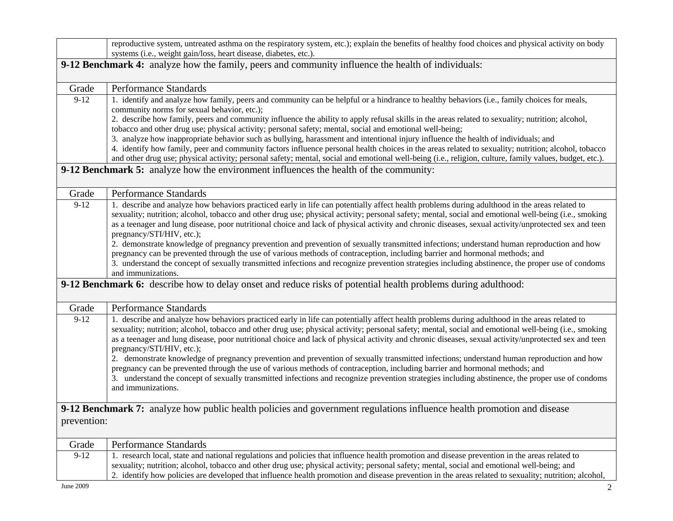|                                                                                                    | reproductive system, untreated asthma on the respiratory system, etc.); explain the benefits of healthy food choices and physical activity on body<br>systems (i.e., weight gain/loss, heart disease, diabetes, etc.).                                                                                                                                                                                                                                                                                                                                                                                                                                                                                                                                                                                                                                                                                                                            |
|----------------------------------------------------------------------------------------------------|---------------------------------------------------------------------------------------------------------------------------------------------------------------------------------------------------------------------------------------------------------------------------------------------------------------------------------------------------------------------------------------------------------------------------------------------------------------------------------------------------------------------------------------------------------------------------------------------------------------------------------------------------------------------------------------------------------------------------------------------------------------------------------------------------------------------------------------------------------------------------------------------------------------------------------------------------|
| 9-12 Benchmark 4: analyze how the family, peers and community influence the health of individuals: |                                                                                                                                                                                                                                                                                                                                                                                                                                                                                                                                                                                                                                                                                                                                                                                                                                                                                                                                                   |
| Grade                                                                                              | Performance Standards                                                                                                                                                                                                                                                                                                                                                                                                                                                                                                                                                                                                                                                                                                                                                                                                                                                                                                                             |
| $9-12$                                                                                             | 1. identify and analyze how family, peers and community can be helpful or a hindrance to healthy behaviors (i.e., family choices for meals,<br>community norms for sexual behavior, etc.);<br>2. describe how family, peers and community influence the ability to apply refusal skills in the areas related to sexuality; nutrition; alcohol,<br>tobacco and other drug use; physical activity; personal safety; mental, social and emotional well-being;<br>3. analyze how inappropriate behavior such as bullying, harassment and intentional injury influence the health of individuals; and<br>4. identify how family, peer and community factors influence personal health choices in the areas related to sexuality; nutrition; alcohol, tobacco<br>and other drug use; physical activity; personal safety; mental, social and emotional well-being (i.e., religion, culture, family values, budget, etc.).                                |
|                                                                                                    | 9-12 Benchmark 5: analyze how the environment influences the health of the community:                                                                                                                                                                                                                                                                                                                                                                                                                                                                                                                                                                                                                                                                                                                                                                                                                                                             |
| Grade                                                                                              | Performance Standards                                                                                                                                                                                                                                                                                                                                                                                                                                                                                                                                                                                                                                                                                                                                                                                                                                                                                                                             |
| $9-12$                                                                                             | 1. describe and analyze how behaviors practiced early in life can potentially affect health problems during adulthood in the areas related to<br>sexuality; nutrition; alcohol, tobacco and other drug use; physical activity; personal safety; mental, social and emotional well-being (i.e., smoking<br>as a teenager and lung disease, poor nutritional choice and lack of physical activity and chronic diseases, sexual activity/unprotected sex and teen<br>pregnancy/STI/HIV, etc.);<br>2. demonstrate knowledge of pregnancy prevention and prevention of sexually transmitted infections; understand human reproduction and how<br>pregnancy can be prevented through the use of various methods of contraception, including barrier and hormonal methods; and<br>3. understand the concept of sexually transmitted infections and recognize prevention strategies including abstinence, the proper use of condoms<br>and immunizations. |
|                                                                                                    | 9-12 Benchmark 6: describe how to delay onset and reduce risks of potential health problems during adulthood:                                                                                                                                                                                                                                                                                                                                                                                                                                                                                                                                                                                                                                                                                                                                                                                                                                     |
| Grade                                                                                              | Performance Standards                                                                                                                                                                                                                                                                                                                                                                                                                                                                                                                                                                                                                                                                                                                                                                                                                                                                                                                             |
| $9-12$                                                                                             | 1. describe and analyze how behaviors practiced early in life can potentially affect health problems during adulthood in the areas related to<br>sexuality; nutrition; alcohol, tobacco and other drug use; physical activity; personal safety; mental, social and emotional well-being (i.e., smoking<br>as a teenager and lung disease, poor nutritional choice and lack of physical activity and chronic diseases, sexual activity/unprotected sex and teen<br>pregnancy/STI/HIV, etc.);<br>2. demonstrate knowledge of pregnancy prevention and prevention of sexually transmitted infections; understand human reproduction and how<br>pregnancy can be prevented through the use of various methods of contraception, including barrier and hormonal methods; and<br>3. understand the concept of sexually transmitted infections and recognize prevention strategies including abstinence, the proper use of condoms<br>and immunizations. |
|                                                                                                    | 9-12 Benchmark 7: analyze how public health policies and government regulations influence health promotion and disease                                                                                                                                                                                                                                                                                                                                                                                                                                                                                                                                                                                                                                                                                                                                                                                                                            |
| prevention:                                                                                        |                                                                                                                                                                                                                                                                                                                                                                                                                                                                                                                                                                                                                                                                                                                                                                                                                                                                                                                                                   |
| Grade                                                                                              | Performance Standards                                                                                                                                                                                                                                                                                                                                                                                                                                                                                                                                                                                                                                                                                                                                                                                                                                                                                                                             |
| $9-12$                                                                                             | 1. research local, state and national regulations and policies that influence health promotion and disease prevention in the areas related to<br>sexuality; nutrition; alcohol, tobacco and other drug use; physical activity; personal safety; mental, social and emotional well-being; and<br>2. identify how policies are developed that influence health promotion and disease prevention in the areas related to sexuality; nutrition; alcohol,                                                                                                                                                                                                                                                                                                                                                                                                                                                                                              |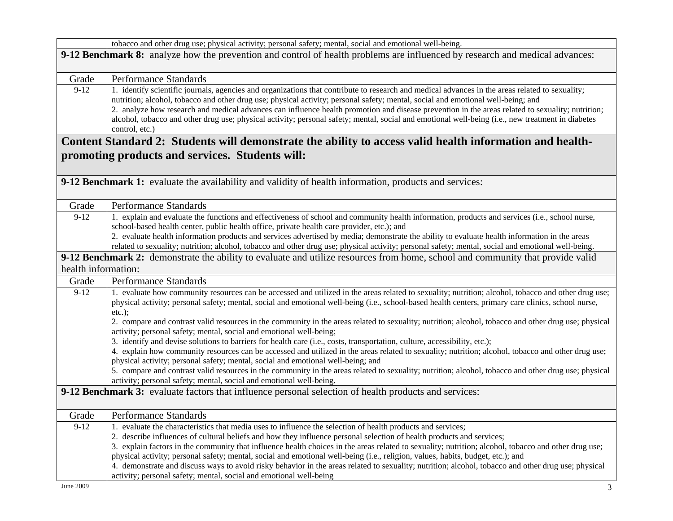|                                                                                                                              | tobacco and other drug use; physical activity; personal safety; mental, social and emotional well-being.                                                                                                                                                                                                                                                                                                                                                                                                                                                                                                                                                                                                                                                     |  |
|------------------------------------------------------------------------------------------------------------------------------|--------------------------------------------------------------------------------------------------------------------------------------------------------------------------------------------------------------------------------------------------------------------------------------------------------------------------------------------------------------------------------------------------------------------------------------------------------------------------------------------------------------------------------------------------------------------------------------------------------------------------------------------------------------------------------------------------------------------------------------------------------------|--|
| 9-12 Benchmark 8: analyze how the prevention and control of health problems are influenced by research and medical advances: |                                                                                                                                                                                                                                                                                                                                                                                                                                                                                                                                                                                                                                                                                                                                                              |  |
| Grade                                                                                                                        | Performance Standards                                                                                                                                                                                                                                                                                                                                                                                                                                                                                                                                                                                                                                                                                                                                        |  |
| $9-12$                                                                                                                       | 1. identify scientific journals, agencies and organizations that contribute to research and medical advances in the areas related to sexuality;<br>nutrition; alcohol, tobacco and other drug use; physical activity; personal safety; mental, social and emotional well-being; and<br>2. analyze how research and medical advances can influence health promotion and disease prevention in the areas related to sexuality; nutrition;<br>alcohol, tobacco and other drug use; physical activity; personal safety; mental, social and emotional well-being (i.e., new treatment in diabetes<br>control, etc.)                                                                                                                                               |  |
|                                                                                                                              | Content Standard 2: Students will demonstrate the ability to access valid health information and health-<br>promoting products and services. Students will:                                                                                                                                                                                                                                                                                                                                                                                                                                                                                                                                                                                                  |  |
|                                                                                                                              | 9-12 Benchmark 1: evaluate the availability and validity of health information, products and services:                                                                                                                                                                                                                                                                                                                                                                                                                                                                                                                                                                                                                                                       |  |
| Grade                                                                                                                        | <b>Performance Standards</b>                                                                                                                                                                                                                                                                                                                                                                                                                                                                                                                                                                                                                                                                                                                                 |  |
| $9-12$                                                                                                                       | 1. explain and evaluate the functions and effectiveness of school and community health information, products and services (i.e., school nurse,<br>school-based health center, public health office, private health care provider, etc.); and<br>2. evaluate health information products and services advertised by media; demonstrate the ability to evaluate health information in the areas<br>related to sexuality; nutrition; alcohol, tobacco and other drug use; physical activity; personal safety; mental, social and emotional well-being.                                                                                                                                                                                                          |  |
|                                                                                                                              | 9-12 Benchmark 2: demonstrate the ability to evaluate and utilize resources from home, school and community that provide valid                                                                                                                                                                                                                                                                                                                                                                                                                                                                                                                                                                                                                               |  |
| health information:                                                                                                          |                                                                                                                                                                                                                                                                                                                                                                                                                                                                                                                                                                                                                                                                                                                                                              |  |
| Grade                                                                                                                        | <b>Performance Standards</b>                                                                                                                                                                                                                                                                                                                                                                                                                                                                                                                                                                                                                                                                                                                                 |  |
| $9-12$                                                                                                                       | 1. evaluate how community resources can be accessed and utilized in the areas related to sexuality; nutrition; alcohol, tobacco and other drug use;<br>physical activity; personal safety; mental, social and emotional well-being (i.e., school-based health centers, primary care clinics, school nurse,<br>$etc.$ );<br>2. compare and contrast valid resources in the community in the areas related to sexuality; nutrition; alcohol, tobacco and other drug use; physical<br>activity; personal safety; mental, social and emotional well-being;<br>3. identify and devise solutions to barriers for health care (i.e., costs, transportation, culture, accessibility, etc.);                                                                          |  |
|                                                                                                                              | 4. explain how community resources can be accessed and utilized in the areas related to sexuality; nutrition; alcohol, tobacco and other drug use;<br>physical activity; personal safety; mental, social and emotional well-being; and                                                                                                                                                                                                                                                                                                                                                                                                                                                                                                                       |  |
|                                                                                                                              | 5. compare and contrast valid resources in the community in the areas related to sexuality; nutrition; alcohol, tobacco and other drug use; physical<br>activity; personal safety; mental, social and emotional well-being.                                                                                                                                                                                                                                                                                                                                                                                                                                                                                                                                  |  |
|                                                                                                                              | 9-12 Benchmark 3: evaluate factors that influence personal selection of health products and services:                                                                                                                                                                                                                                                                                                                                                                                                                                                                                                                                                                                                                                                        |  |
| Grade                                                                                                                        | <b>Performance Standards</b>                                                                                                                                                                                                                                                                                                                                                                                                                                                                                                                                                                                                                                                                                                                                 |  |
| $9-12$                                                                                                                       | 1. evaluate the characteristics that media uses to influence the selection of health products and services;<br>2. describe influences of cultural beliefs and how they influence personal selection of health products and services;<br>3. explain factors in the community that influence health choices in the areas related to sexuality; nutrition; alcohol, tobacco and other drug use;<br>physical activity; personal safety; mental, social and emotional well-being (i.e., religion, values, habits, budget, etc.); and<br>4. demonstrate and discuss ways to avoid risky behavior in the areas related to sexuality; nutrition; alcohol, tobacco and other drug use; physical<br>activity; personal safety; mental, social and emotional well-being |  |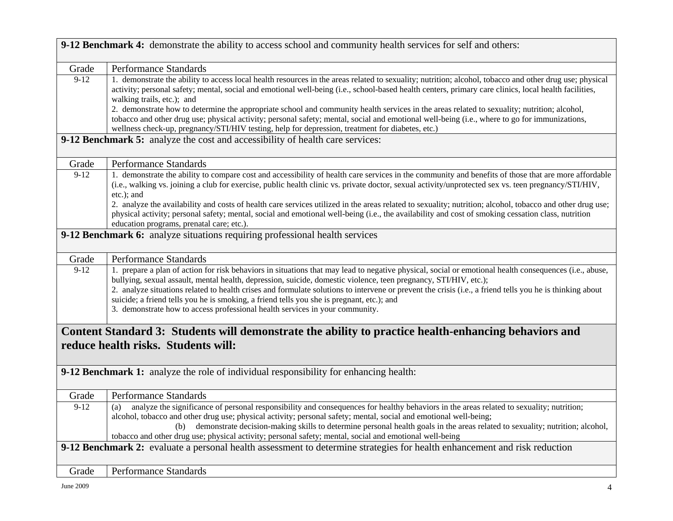|                                     | 9-12 Benchmark 4: demonstrate the ability to access school and community health services for self and others:                                                                                                                                                                                                                                                                                                                                                                                                                                                                                                       |  |
|-------------------------------------|---------------------------------------------------------------------------------------------------------------------------------------------------------------------------------------------------------------------------------------------------------------------------------------------------------------------------------------------------------------------------------------------------------------------------------------------------------------------------------------------------------------------------------------------------------------------------------------------------------------------|--|
|                                     |                                                                                                                                                                                                                                                                                                                                                                                                                                                                                                                                                                                                                     |  |
| Grade                               | Performance Standards                                                                                                                                                                                                                                                                                                                                                                                                                                                                                                                                                                                               |  |
| $9-12$                              | 1. demonstrate the ability to access local health resources in the areas related to sexuality; nutrition; alcohol, tobacco and other drug use; physical<br>activity; personal safety; mental, social and emotional well-being (i.e., school-based health centers, primary care clinics, local health facilities,<br>walking trails, etc.); and                                                                                                                                                                                                                                                                      |  |
|                                     | 2. demonstrate how to determine the appropriate school and community health services in the areas related to sexuality; nutrition; alcohol,<br>tobacco and other drug use; physical activity; personal safety; mental, social and emotional well-being (i.e., where to go for immunizations,<br>wellness check-up, pregnancy/STI/HIV testing, help for depression, treatment for diabetes, etc.)                                                                                                                                                                                                                    |  |
|                                     | 9-12 Benchmark 5: analyze the cost and accessibility of health care services:                                                                                                                                                                                                                                                                                                                                                                                                                                                                                                                                       |  |
| Grade                               | Performance Standards                                                                                                                                                                                                                                                                                                                                                                                                                                                                                                                                                                                               |  |
| $9-12$                              | 1. demonstrate the ability to compare cost and accessibility of health care services in the community and benefits of those that are more affordable<br>(i.e., walking vs. joining a club for exercise, public health clinic vs. private doctor, sexual activity/unprotected sex vs. teen pregnancy/STI/HIV,<br>etc.); and                                                                                                                                                                                                                                                                                          |  |
|                                     | 2. analyze the availability and costs of health care services utilized in the areas related to sexuality; nutrition; alcohol, tobacco and other drug use;<br>physical activity; personal safety; mental, social and emotional well-being (i.e., the availability and cost of smoking cessation class, nutrition<br>education programs, prenatal care; etc.).                                                                                                                                                                                                                                                        |  |
|                                     | 9-12 Benchmark 6: analyze situations requiring professional health services                                                                                                                                                                                                                                                                                                                                                                                                                                                                                                                                         |  |
| Grade                               | Performance Standards                                                                                                                                                                                                                                                                                                                                                                                                                                                                                                                                                                                               |  |
| $9-12$                              | 1. prepare a plan of action for risk behaviors in situations that may lead to negative physical, social or emotional health consequences (i.e., abuse,<br>bullying, sexual assault, mental health, depression, suicide, domestic violence, teen pregnancy, STI/HIV, etc.);<br>2. analyze situations related to health crises and formulate solutions to intervene or prevent the crisis (i.e., a friend tells you he is thinking about<br>suicide; a friend tells you he is smoking, a friend tells you she is pregnant, etc.); and<br>3. demonstrate how to access professional health services in your community. |  |
|                                     | Content Standard 3: Students will demonstrate the ability to practice health-enhancing behaviors and                                                                                                                                                                                                                                                                                                                                                                                                                                                                                                                |  |
| reduce health risks. Students will: |                                                                                                                                                                                                                                                                                                                                                                                                                                                                                                                                                                                                                     |  |
|                                     | 9-12 Benchmark 1: analyze the role of individual responsibility for enhancing health:                                                                                                                                                                                                                                                                                                                                                                                                                                                                                                                               |  |
| Grade                               | <b>Performance Standards</b>                                                                                                                                                                                                                                                                                                                                                                                                                                                                                                                                                                                        |  |
| $9-12$                              | analyze the significance of personal responsibility and consequences for healthy behaviors in the areas related to sexuality; nutrition;<br>(a)<br>alcohol, tobacco and other drug use; physical activity; personal safety; mental, social and emotional well-being;<br>demonstrate decision-making skills to determine personal health goals in the areas related to sexuality; nutrition; alcohol,<br>(b)<br>tobacco and other drug use; physical activity; personal safety; mental, social and emotional well-being                                                                                              |  |
|                                     | 9-12 Benchmark 2: evaluate a personal health assessment to determine strategies for health enhancement and risk reduction                                                                                                                                                                                                                                                                                                                                                                                                                                                                                           |  |
| Grade                               | <b>Performance Standards</b>                                                                                                                                                                                                                                                                                                                                                                                                                                                                                                                                                                                        |  |
|                                     |                                                                                                                                                                                                                                                                                                                                                                                                                                                                                                                                                                                                                     |  |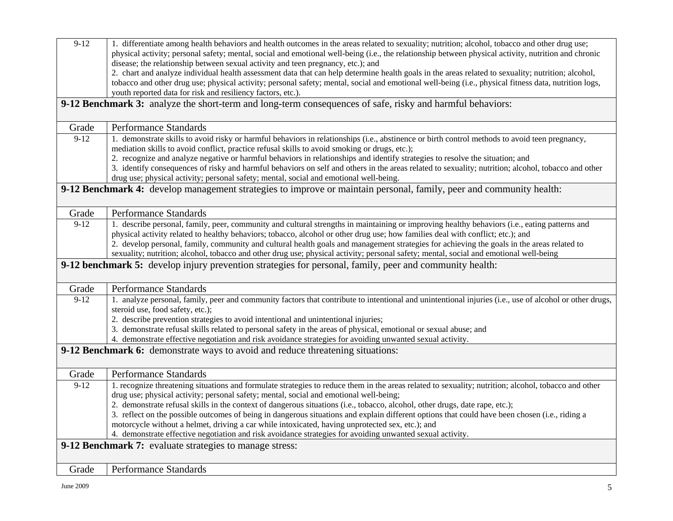| $9 - 12$                                                                                                | 1. differentiate among health behaviors and health outcomes in the areas related to sexuality; nutrition; alcohol, tobacco and other drug use;<br>physical activity; personal safety; mental, social and emotional well-being (i.e., the relationship between physical activity, nutrition and chronic |
|---------------------------------------------------------------------------------------------------------|--------------------------------------------------------------------------------------------------------------------------------------------------------------------------------------------------------------------------------------------------------------------------------------------------------|
|                                                                                                         | disease; the relationship between sexual activity and teen pregnancy, etc.); and                                                                                                                                                                                                                       |
|                                                                                                         | 2. chart and analyze individual health assessment data that can help determine health goals in the areas related to sexuality; nutrition; alcohol,                                                                                                                                                     |
|                                                                                                         | tobacco and other drug use; physical activity; personal safety; mental, social and emotional well-being (i.e., physical fitness data, nutrition logs,                                                                                                                                                  |
|                                                                                                         | youth reported data for risk and resiliency factors, etc.).                                                                                                                                                                                                                                            |
|                                                                                                         | 9-12 Benchmark 3: analyze the short-term and long-term consequences of safe, risky and harmful behaviors:                                                                                                                                                                                              |
|                                                                                                         |                                                                                                                                                                                                                                                                                                        |
| Grade                                                                                                   | <b>Performance Standards</b>                                                                                                                                                                                                                                                                           |
| $9-12$                                                                                                  | 1. demonstrate skills to avoid risky or harmful behaviors in relationships (i.e., abstinence or birth control methods to avoid teen pregnancy,                                                                                                                                                         |
|                                                                                                         | mediation skills to avoid conflict, practice refusal skills to avoid smoking or drugs, etc.);                                                                                                                                                                                                          |
|                                                                                                         | 2. recognize and analyze negative or harmful behaviors in relationships and identify strategies to resolve the situation; and                                                                                                                                                                          |
|                                                                                                         | 3. identify consequences of risky and harmful behaviors on self and others in the areas related to sexuality; nutrition; alcohol, tobacco and other                                                                                                                                                    |
|                                                                                                         | drug use; physical activity; personal safety; mental, social and emotional well-being.                                                                                                                                                                                                                 |
|                                                                                                         | 9-12 Benchmark 4: develop management strategies to improve or maintain personal, family, peer and community health:                                                                                                                                                                                    |
|                                                                                                         |                                                                                                                                                                                                                                                                                                        |
| Grade                                                                                                   | Performance Standards                                                                                                                                                                                                                                                                                  |
| $9-12$                                                                                                  | 1. describe personal, family, peer, community and cultural strengths in maintaining or improving healthy behaviors (i.e., eating patterns and                                                                                                                                                          |
|                                                                                                         | physical activity related to healthy behaviors; tobacco, alcohol or other drug use; how families deal with conflict; etc.); and                                                                                                                                                                        |
|                                                                                                         | 2. develop personal, family, community and cultural health goals and management strategies for achieving the goals in the areas related to                                                                                                                                                             |
|                                                                                                         | sexuality; nutrition; alcohol, tobacco and other drug use; physical activity; personal safety; mental, social and emotional well-being                                                                                                                                                                 |
| 9-12 benchmark 5: develop injury prevention strategies for personal, family, peer and community health: |                                                                                                                                                                                                                                                                                                        |
|                                                                                                         |                                                                                                                                                                                                                                                                                                        |
|                                                                                                         |                                                                                                                                                                                                                                                                                                        |
| Grade                                                                                                   | Performance Standards                                                                                                                                                                                                                                                                                  |
| $9-12$                                                                                                  | 1. analyze personal, family, peer and community factors that contribute to intentional and unintentional injuries (i.e., use of alcohol or other drugs,                                                                                                                                                |
|                                                                                                         | steroid use, food safety, etc.);                                                                                                                                                                                                                                                                       |
|                                                                                                         | 2. describe prevention strategies to avoid intentional and unintentional injuries;                                                                                                                                                                                                                     |
|                                                                                                         | 3. demonstrate refusal skills related to personal safety in the areas of physical, emotional or sexual abuse; and                                                                                                                                                                                      |
|                                                                                                         | 4. demonstrate effective negotiation and risk avoidance strategies for avoiding unwanted sexual activity.                                                                                                                                                                                              |
|                                                                                                         | 9-12 Benchmark 6: demonstrate ways to avoid and reduce threatening situations:                                                                                                                                                                                                                         |
|                                                                                                         |                                                                                                                                                                                                                                                                                                        |
| Grade                                                                                                   | Performance Standards                                                                                                                                                                                                                                                                                  |
| $9-12$                                                                                                  | 1. recognize threatening situations and formulate strategies to reduce them in the areas related to sexuality; nutrition; alcohol, tobacco and other                                                                                                                                                   |
|                                                                                                         | drug use; physical activity; personal safety; mental, social and emotional well-being;                                                                                                                                                                                                                 |
|                                                                                                         | 2. demonstrate refusal skills in the context of dangerous situations (i.e., tobacco, alcohol, other drugs, date rape, etc.);                                                                                                                                                                           |
|                                                                                                         | 3. reflect on the possible outcomes of being in dangerous situations and explain different options that could have been chosen (i.e., riding a                                                                                                                                                         |
|                                                                                                         | motorcycle without a helmet, driving a car while intoxicated, having unprotected sex, etc.); and                                                                                                                                                                                                       |
|                                                                                                         | 4. demonstrate effective negotiation and risk avoidance strategies for avoiding unwanted sexual activity.                                                                                                                                                                                              |
|                                                                                                         | 9-12 Benchmark 7: evaluate strategies to manage stress:                                                                                                                                                                                                                                                |
| Grade                                                                                                   | Performance Standards                                                                                                                                                                                                                                                                                  |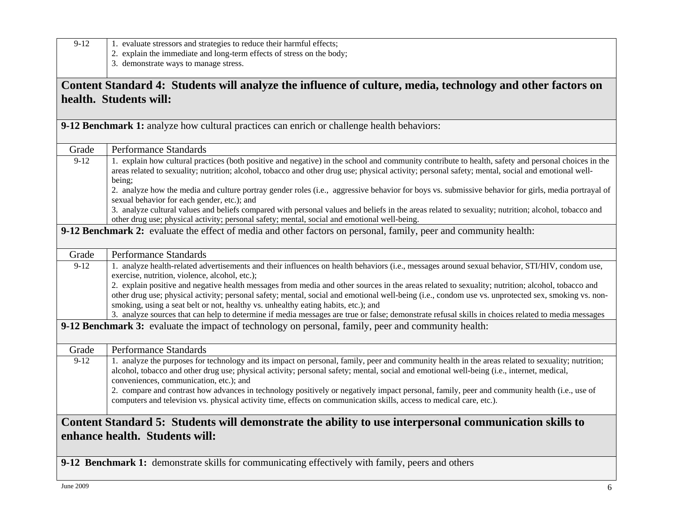| $9-12$                         | 1. evaluate stressors and strategies to reduce their harmful effects;                                                                                                                                                                                                                                                                                                                                                                                                                       |
|--------------------------------|---------------------------------------------------------------------------------------------------------------------------------------------------------------------------------------------------------------------------------------------------------------------------------------------------------------------------------------------------------------------------------------------------------------------------------------------------------------------------------------------|
|                                | 2. explain the immediate and long-term effects of stress on the body;<br>3. demonstrate ways to manage stress.                                                                                                                                                                                                                                                                                                                                                                              |
|                                |                                                                                                                                                                                                                                                                                                                                                                                                                                                                                             |
|                                | Content Standard 4: Students will analyze the influence of culture, media, technology and other factors on                                                                                                                                                                                                                                                                                                                                                                                  |
|                                | health. Students will:                                                                                                                                                                                                                                                                                                                                                                                                                                                                      |
|                                |                                                                                                                                                                                                                                                                                                                                                                                                                                                                                             |
|                                | 9-12 Benchmark 1: analyze how cultural practices can enrich or challenge health behaviors:                                                                                                                                                                                                                                                                                                                                                                                                  |
|                                |                                                                                                                                                                                                                                                                                                                                                                                                                                                                                             |
| Grade                          | Performance Standards                                                                                                                                                                                                                                                                                                                                                                                                                                                                       |
| $9-12$                         | 1. explain how cultural practices (both positive and negative) in the school and community contribute to health, safety and personal choices in the<br>areas related to sexuality; nutrition; alcohol, tobacco and other drug use; physical activity; personal safety; mental, social and emotional well-<br>being;                                                                                                                                                                         |
|                                | 2. analyze how the media and culture portray gender roles (i.e., aggressive behavior for boys vs. submissive behavior for girls, media portrayal of<br>sexual behavior for each gender, etc.); and                                                                                                                                                                                                                                                                                          |
|                                | 3. analyze cultural values and beliefs compared with personal values and beliefs in the areas related to sexuality; nutrition; alcohol, tobacco and<br>other drug use; physical activity; personal safety; mental, social and emotional well-being.                                                                                                                                                                                                                                         |
|                                | 9-12 Benchmark 2: evaluate the effect of media and other factors on personal, family, peer and community health:                                                                                                                                                                                                                                                                                                                                                                            |
|                                |                                                                                                                                                                                                                                                                                                                                                                                                                                                                                             |
| Grade                          | <b>Performance Standards</b>                                                                                                                                                                                                                                                                                                                                                                                                                                                                |
| $9-12$                         | 1. analyze health-related advertisements and their influences on health behaviors (i.e., messages around sexual behavior, STI/HIV, condom use,                                                                                                                                                                                                                                                                                                                                              |
|                                | exercise, nutrition, violence, alcohol, etc.);<br>2. explain positive and negative health messages from media and other sources in the areas related to sexuality; nutrition; alcohol, tobacco and                                                                                                                                                                                                                                                                                          |
|                                | other drug use; physical activity; personal safety; mental, social and emotional well-being (i.e., condom use vs. unprotected sex, smoking vs. non-<br>smoking, using a seat belt or not, healthy vs. unhealthy eating habits, etc.); and                                                                                                                                                                                                                                                   |
|                                | 3. analyze sources that can help to determine if media messages are true or false; demonstrate refusal skills in choices related to media messages                                                                                                                                                                                                                                                                                                                                          |
|                                | 9-12 Benchmark 3: evaluate the impact of technology on personal, family, peer and community health:                                                                                                                                                                                                                                                                                                                                                                                         |
| Grade                          | <b>Performance Standards</b>                                                                                                                                                                                                                                                                                                                                                                                                                                                                |
| $9-12$                         | 1. analyze the purposes for technology and its impact on personal, family, peer and community health in the areas related to sexuality; nutrition;<br>alcohol, tobacco and other drug use; physical activity; personal safety; mental, social and emotional well-being (i.e., internet, medical,<br>conveniences, communication, etc.); and<br>2. compare and contrast how advances in technology positively or negatively impact personal, family, peer and community health (i.e., use of |
|                                | computers and television vs. physical activity time, effects on communication skills, access to medical care, etc.).                                                                                                                                                                                                                                                                                                                                                                        |
|                                | Content Standard 5: Students will demonstrate the ability to use interpersonal communication skills to                                                                                                                                                                                                                                                                                                                                                                                      |
| enhance health. Students will: |                                                                                                                                                                                                                                                                                                                                                                                                                                                                                             |
|                                | 9-12 Benchmark 1: demonstrate skills for communicating effectively with family, peers and others                                                                                                                                                                                                                                                                                                                                                                                            |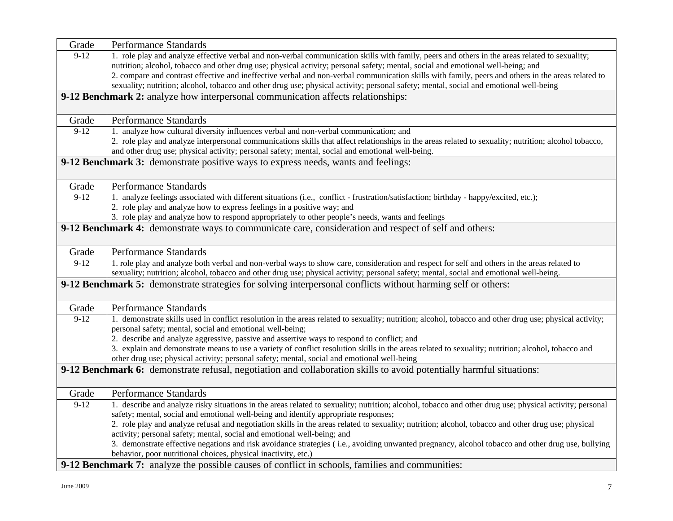| Grade  | Performance Standards                                                                                                                                                                                                                                                                   |
|--------|-----------------------------------------------------------------------------------------------------------------------------------------------------------------------------------------------------------------------------------------------------------------------------------------|
| $9-12$ | 1. role play and analyze effective verbal and non-verbal communication skills with family, peers and others in the areas related to sexuality;                                                                                                                                          |
|        | nutrition; alcohol, tobacco and other drug use; physical activity; personal safety; mental, social and emotional well-being; and                                                                                                                                                        |
|        | 2. compare and contrast effective and ineffective verbal and non-verbal communication skills with family, peers and others in the areas related to                                                                                                                                      |
|        | sexuality; nutrition; alcohol, tobacco and other drug use; physical activity; personal safety; mental, social and emotional well-being                                                                                                                                                  |
|        | 9-12 Benchmark 2: analyze how interpersonal communication affects relationships:                                                                                                                                                                                                        |
|        |                                                                                                                                                                                                                                                                                         |
| Grade  | Performance Standards                                                                                                                                                                                                                                                                   |
| $9-12$ | 1. analyze how cultural diversity influences verbal and non-verbal communication; and                                                                                                                                                                                                   |
|        | 2. role play and analyze interpersonal communications skills that affect relationships in the areas related to sexuality; nutrition; alcohol tobacco,                                                                                                                                   |
|        | and other drug use; physical activity; personal safety; mental, social and emotional well-being.                                                                                                                                                                                        |
|        | <b>9-12 Benchmark 3:</b> demonstrate positive ways to express needs, wants and feelings:                                                                                                                                                                                                |
|        |                                                                                                                                                                                                                                                                                         |
| Grade  | Performance Standards                                                                                                                                                                                                                                                                   |
| $9-12$ | 1. analyze feelings associated with different situations (i.e., conflict - frustration/satisfaction; birthday - happy/excited, etc.);                                                                                                                                                   |
|        | 2. role play and analyze how to express feelings in a positive way; and                                                                                                                                                                                                                 |
|        | 3. role play and analyze how to respond appropriately to other people's needs, wants and feelings                                                                                                                                                                                       |
|        | 9-12 Benchmark 4: demonstrate ways to communicate care, consideration and respect of self and others:                                                                                                                                                                                   |
| Grade  | Performance Standards                                                                                                                                                                                                                                                                   |
| $9-12$ | 1. role play and analyze both verbal and non-verbal ways to show care, consideration and respect for self and others in the areas related to<br>sexuality; nutrition; alcohol, tobacco and other drug use; physical activity; personal safety; mental, social and emotional well-being. |
|        | 9-12 Benchmark 5: demonstrate strategies for solving interpersonal conflicts without harming self or others:                                                                                                                                                                            |
| Grade  | Performance Standards                                                                                                                                                                                                                                                                   |
| $9-12$ | 1. demonstrate skills used in conflict resolution in the areas related to sexuality; nutrition; alcohol, tobacco and other drug use; physical activity;                                                                                                                                 |
|        | personal safety; mental, social and emotional well-being;                                                                                                                                                                                                                               |
|        | 2. describe and analyze aggressive, passive and assertive ways to respond to conflict; and                                                                                                                                                                                              |
|        | 3. explain and demonstrate means to use a variety of conflict resolution skills in the areas related to sexuality; nutrition; alcohol, tobacco and                                                                                                                                      |
|        | other drug use; physical activity; personal safety; mental, social and emotional well-being                                                                                                                                                                                             |
|        | 9-12 Benchmark 6: demonstrate refusal, negotiation and collaboration skills to avoid potentially harmful situations:                                                                                                                                                                    |
|        |                                                                                                                                                                                                                                                                                         |
| Grade  | Performance Standards                                                                                                                                                                                                                                                                   |
| $9-12$ | 1. describe and analyze risky situations in the areas related to sexuality; nutrition; alcohol, tobacco and other drug use; physical activity; personal                                                                                                                                 |
|        | safety; mental, social and emotional well-being and identify appropriate responses;                                                                                                                                                                                                     |
|        | 2. role play and analyze refusal and negotiation skills in the areas related to sexuality; nutrition; alcohol, tobacco and other drug use; physical                                                                                                                                     |
|        | activity; personal safety; mental, social and emotional well-being; and                                                                                                                                                                                                                 |
|        | 3. demonstrate effective negations and risk avoidance strategies (i.e., avoiding unwanted pregnancy, alcohol tobacco and other drug use, bullying                                                                                                                                       |
|        | behavior, poor nutritional choices, physical inactivity, etc.)                                                                                                                                                                                                                          |
|        | 9-12 Benchmark 7: analyze the possible causes of conflict in schools, families and communities:                                                                                                                                                                                         |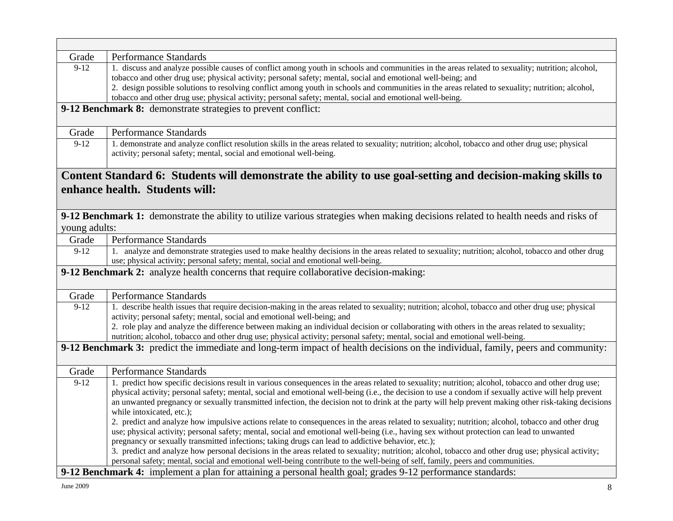| Grade                                                                                                                                         | Performance Standards                                                                                                                                                                                                                                                                                                                                                                                                                                                                                                                                                                                                                                                                        |  |
|-----------------------------------------------------------------------------------------------------------------------------------------------|----------------------------------------------------------------------------------------------------------------------------------------------------------------------------------------------------------------------------------------------------------------------------------------------------------------------------------------------------------------------------------------------------------------------------------------------------------------------------------------------------------------------------------------------------------------------------------------------------------------------------------------------------------------------------------------------|--|
| $9-12$                                                                                                                                        | 1. discuss and analyze possible causes of conflict among youth in schools and communities in the areas related to sexuality; nutrition; alcohol,<br>tobacco and other drug use; physical activity; personal safety; mental, social and emotional well-being; and<br>2. design possible solutions to resolving conflict among youth in schools and communities in the areas related to sexuality; nutrition; alcohol,<br>tobacco and other drug use; physical activity; personal safety; mental, social and emotional well-being.                                                                                                                                                             |  |
|                                                                                                                                               | 9-12 Benchmark 8: demonstrate strategies to prevent conflict:                                                                                                                                                                                                                                                                                                                                                                                                                                                                                                                                                                                                                                |  |
| Grade                                                                                                                                         | Performance Standards                                                                                                                                                                                                                                                                                                                                                                                                                                                                                                                                                                                                                                                                        |  |
| $9-12$                                                                                                                                        | 1. demonstrate and analyze conflict resolution skills in the areas related to sexuality; nutrition; alcohol, tobacco and other drug use; physical<br>activity; personal safety; mental, social and emotional well-being.                                                                                                                                                                                                                                                                                                                                                                                                                                                                     |  |
| Content Standard 6: Students will demonstrate the ability to use goal-setting and decision-making skills to<br>enhance health. Students will: |                                                                                                                                                                                                                                                                                                                                                                                                                                                                                                                                                                                                                                                                                              |  |
| young adults:                                                                                                                                 | 9-12 Benchmark 1: demonstrate the ability to utilize various strategies when making decisions related to health needs and risks of                                                                                                                                                                                                                                                                                                                                                                                                                                                                                                                                                           |  |
| Grade                                                                                                                                         | Performance Standards                                                                                                                                                                                                                                                                                                                                                                                                                                                                                                                                                                                                                                                                        |  |
| $9-12$                                                                                                                                        | 1. analyze and demonstrate strategies used to make healthy decisions in the areas related to sexuality; nutrition; alcohol, tobacco and other drug<br>use; physical activity; personal safety; mental, social and emotional well-being.                                                                                                                                                                                                                                                                                                                                                                                                                                                      |  |
| 9-12 Benchmark 2: analyze health concerns that require collaborative decision-making:                                                         |                                                                                                                                                                                                                                                                                                                                                                                                                                                                                                                                                                                                                                                                                              |  |
| Grade                                                                                                                                         | Performance Standards                                                                                                                                                                                                                                                                                                                                                                                                                                                                                                                                                                                                                                                                        |  |
| $9-12$                                                                                                                                        | 1. describe health issues that require decision-making in the areas related to sexuality; nutrition; alcohol, tobacco and other drug use; physical<br>activity; personal safety; mental, social and emotional well-being; and<br>2. role play and analyze the difference between making an individual decision or collaborating with others in the areas related to sexuality;<br>nutrition; alcohol, tobacco and other drug use; physical activity; personal safety; mental, social and emotional well-being.                                                                                                                                                                               |  |
| 9-12 Benchmark 3: predict the immediate and long-term impact of health decisions on the individual, family, peers and community:              |                                                                                                                                                                                                                                                                                                                                                                                                                                                                                                                                                                                                                                                                                              |  |
| Grade                                                                                                                                         | Performance Standards                                                                                                                                                                                                                                                                                                                                                                                                                                                                                                                                                                                                                                                                        |  |
| $9-12$                                                                                                                                        | 1. predict how specific decisions result in various consequences in the areas related to sexuality; nutrition; alcohol, tobacco and other drug use;<br>physical activity; personal safety; mental, social and emotional well-being (i.e., the decision to use a condom if sexually active will help prevent<br>an unwanted pregnancy or sexually transmitted infection, the decision not to drink at the party will help prevent making other risk-taking decisions<br>while intoxicated, etc.);                                                                                                                                                                                             |  |
|                                                                                                                                               | 2. predict and analyze how impulsive actions relate to consequences in the areas related to sexuality; nutrition; alcohol, tobacco and other drug<br>use; physical activity; personal safety; mental, social and emotional well-being (i.e., having sex without protection can lead to unwanted<br>pregnancy or sexually transmitted infections; taking drugs can lead to addictive behavior, etc.);<br>3. predict and analyze how personal decisions in the areas related to sexuality; nutrition; alcohol, tobacco and other drug use; physical activity;<br>personal safety; mental, social and emotional well-being contribute to the well-being of self, family, peers and communities. |  |
| 9-12 Benchmark 4: implement a plan for attaining a personal health goal; grades 9-12 performance standards:                                   |                                                                                                                                                                                                                                                                                                                                                                                                                                                                                                                                                                                                                                                                                              |  |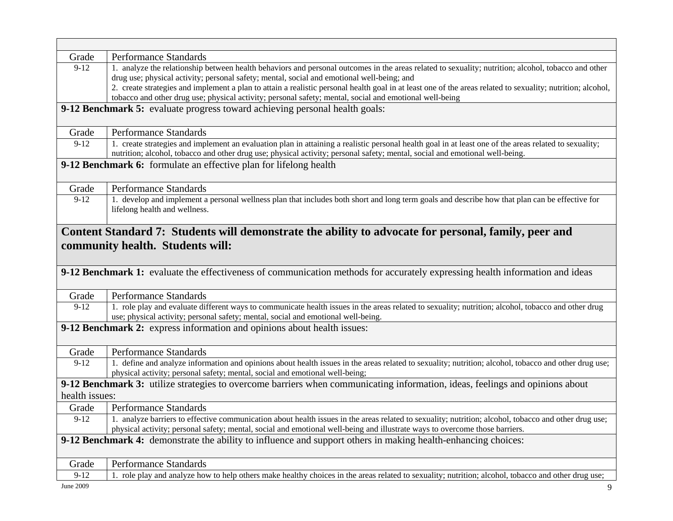| Grade                                                                                                         | Performance Standards                                                                                                                                       |
|---------------------------------------------------------------------------------------------------------------|-------------------------------------------------------------------------------------------------------------------------------------------------------------|
| $9-12$                                                                                                        | 1. analyze the relationship between health behaviors and personal outcomes in the areas related to sexuality; nutrition; alcohol, tobacco and other         |
|                                                                                                               | drug use; physical activity; personal safety; mental, social and emotional well-being; and                                                                  |
|                                                                                                               | 2. create strategies and implement a plan to attain a realistic personal health goal in at least one of the areas related to sexuality; nutrition; alcohol, |
|                                                                                                               | tobacco and other drug use; physical activity; personal safety; mental, social and emotional well-being                                                     |
|                                                                                                               | 9-12 Benchmark 5: evaluate progress toward achieving personal health goals:                                                                                 |
|                                                                                                               |                                                                                                                                                             |
| Grade                                                                                                         | Performance Standards                                                                                                                                       |
| $9-12$                                                                                                        | 1. create strategies and implement an evaluation plan in attaining a realistic personal health goal in at least one of the areas related to sexuality;      |
|                                                                                                               | nutrition; alcohol, tobacco and other drug use; physical activity; personal safety; mental, social and emotional well-being.                                |
|                                                                                                               | 9-12 Benchmark 6: formulate an effective plan for lifelong health                                                                                           |
|                                                                                                               |                                                                                                                                                             |
| Grade                                                                                                         | <b>Performance Standards</b>                                                                                                                                |
| $9-12$                                                                                                        | 1. develop and implement a personal wellness plan that includes both short and long term goals and describe how that plan can be effective for              |
|                                                                                                               | lifelong health and wellness.                                                                                                                               |
|                                                                                                               |                                                                                                                                                             |
|                                                                                                               | Content Standard 7: Students will demonstrate the ability to advocate for personal, family, peer and                                                        |
|                                                                                                               | community health. Students will:                                                                                                                            |
|                                                                                                               |                                                                                                                                                             |
|                                                                                                               |                                                                                                                                                             |
|                                                                                                               | 9-12 Benchmark 1: evaluate the effectiveness of communication methods for accurately expressing health information and ideas                                |
| Grade                                                                                                         | <b>Performance Standards</b>                                                                                                                                |
| $\overline{9} - 12$                                                                                           | 1. role play and evaluate different ways to communicate health issues in the areas related to sexuality; nutrition; alcohol, tobacco and other drug         |
|                                                                                                               | use; physical activity; personal safety; mental, social and emotional well-being.                                                                           |
|                                                                                                               | 9-12 Benchmark 2: express information and opinions about health issues:                                                                                     |
|                                                                                                               |                                                                                                                                                             |
| Grade                                                                                                         | <b>Performance Standards</b>                                                                                                                                |
| $9-12$                                                                                                        | 1. define and analyze information and opinions about health issues in the areas related to sexuality; nutrition; alcohol, tobacco and other drug use;       |
|                                                                                                               | physical activity; personal safety; mental, social and emotional well-being;                                                                                |
|                                                                                                               | 9-12 Benchmark 3: utilize strategies to overcome barriers when communicating information, ideas, feelings and opinions about                                |
| health issues:                                                                                                |                                                                                                                                                             |
| Grade                                                                                                         | Performance Standards                                                                                                                                       |
| $9-12$                                                                                                        | 1. analyze barriers to effective communication about health issues in the areas related to sexuality; nutrition; alcohol, tobacco and other drug use;       |
|                                                                                                               | physical activity; personal safety; mental, social and emotional well-being and illustrate ways to overcome those barriers.                                 |
|                                                                                                               |                                                                                                                                                             |
| 9-12 Benchmark 4: demonstrate the ability to influence and support others in making health-enhancing choices: |                                                                                                                                                             |
| Grade                                                                                                         | <b>Performance Standards</b>                                                                                                                                |
|                                                                                                               |                                                                                                                                                             |
| $9-12$                                                                                                        | 1. role play and analyze how to help others make healthy choices in the areas related to sexuality; nutrition; alcohol, tobacco and other drug use;         |
| June 2009                                                                                                     | 9                                                                                                                                                           |

 $\Box$ 

┑